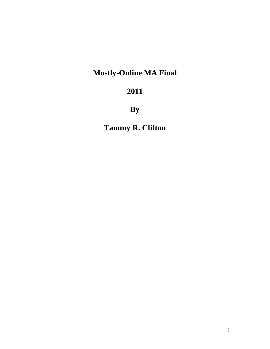# **Mostly-Online MA Final**

# **2011**

**By**

**Tammy R. Clifton**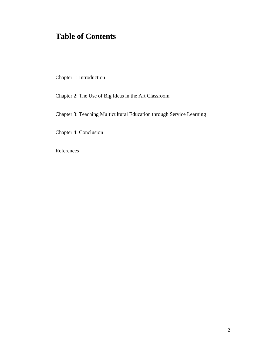## **Table of Contents**

Chapter 1: Introduction

Chapter 2: The Use of Big Ideas in the Art Classroom

Chapter 3: Teaching Multicultural Education through Service Learning

Chapter 4: Conclusion

References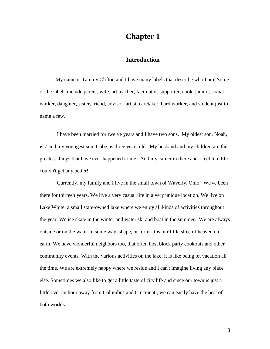### **Chapter 1**

### **Introduction**

My name is Tammy Clifton and I have many labels that describe who I am. Some of the labels include parent, wife, art teacher, facilitator, supporter, cook, janitor, social worker, daughter, sister, friend, advisor, artist, caretaker, hard worker, and student just to name a few.

 I have been married for twelve years and I have two sons. My oldest son, Noah, is 7 and my youngest son, Gabe, is three years old. My husband and my children are the greatest things that have ever happened to me. Add my career in there and I feel like life couldn't get any better!

 Currently, my family and I live in the small town of Waverly, Ohio. We've been there for thirteen years. We live a very casual life in a very unique location. We live on Lake White, a small state-owned lake where we enjoy all kinds of activities throughout the year. We ice skate in the winter and water ski and boat in the summer. We are always outside or on the water in some way, shape, or form. It is our little slice of heaven on earth. We have wonderful neighbors too, that often host block party cookouts and other community events. With the various activities on the lake, it is like being on vacation all the time. We are extremely happy where we reside and I can't imagine living any place else. Sometimes we also like to get a little taste of city life and since our town is just a little over an hour away from Columbus and Cincinnati, we can easily have the best of both worlds.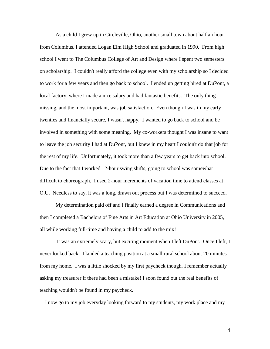As a child I grew up in Circleville, Ohio, another small town about half an hour from Columbus. I attended Logan Elm High School and graduated in 1990. From high school I went to The Columbus College of Art and Design where I spent two semesters on scholarship. I couldn't really afford the college even with my scholarship so I decided to work for a few years and then go back to school. I ended up getting hired at DuPont, a local factory, where I made a nice salary and had fantastic benefits. The only thing missing, and the most important, was job satisfaction. Even though I was in my early twenties and financially secure, I wasn't happy. I wanted to go back to school and be involved in something with some meaning. My co-workers thought I was insane to want to leave the job security I had at DuPont, but I knew in my heart I couldn't do that job for the rest of my life. Unfortunately, it took more than a few years to get back into school. Due to the fact that I worked 12-hour swing shifts, going to school was somewhat difficult to choreograph. I used 2-hour increments of vacation time to attend classes at O.U. Needless to say, it was a long, drawn out process but I was determined to succeed.

 My determination paid off and I finally earned a degree in Communications and then I completed a Bachelors of Fine Arts in Art Education at Ohio University in 2005, all while working full-time and having a child to add to the mix!

 It was an extremely scary, but exciting moment when I left DuPont. Once I left, I never looked back. I landed a teaching position at a small rural school about 20 minutes from my home. I was a little shocked by my first paycheck though. I remember actually asking my treasurer if there had been a mistake! I soon found out the real benefits of teaching wouldn't be found in my paycheck.

I now go to my job everyday looking forward to my students, my work place and my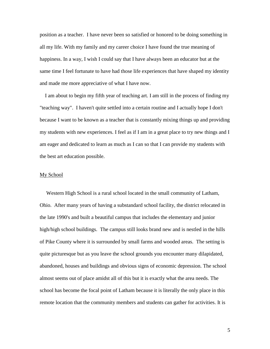position as a teacher. I have never been so satisfied or honored to be doing something in all my life. With my family and my career choice I have found the true meaning of happiness. In a way, I wish I could say that I have always been an educator but at the same time I feel fortunate to have had those life experiences that have shaped my identity and made me more appreciative of what I have now.

 I am about to begin my fifth year of teaching art. I am still in the process of finding my "teaching way". I haven't quite settled into a certain routine and I actually hope I don't because I want to be known as a teacher that is constantly mixing things up and providing my students with new experiences. I feel as if I am in a great place to try new things and I am eager and dedicated to learn as much as I can so that I can provide my students with the best art education possible.

### My School

 Western High School is a rural school located in the small community of Latham, Ohio. After many years of having a substandard school facility, the district relocated in the late 1990's and built a beautiful campus that includes the elementary and junior high/high school buildings. The campus still looks brand new and is nestled in the hills of Pike County where it is surrounded by small farms and wooded areas. The setting is quite picturesque but as you leave the school grounds you encounter many dilapidated, abandoned, houses and buildings and obvious signs of economic depression. The school almost seems out of place amidst all of this but it is exactly what the area needs. The school has become the focal point of Latham because it is literally the only place in this remote location that the community members and students can gather for activities. It is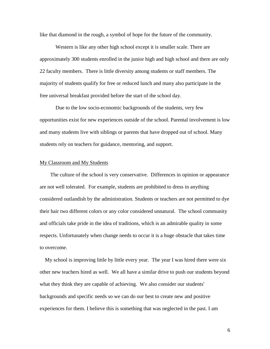like that diamond in the rough, a symbol of hope for the future of the community.

 Western is like any other high school except it is smaller scale. There are approximately 300 students enrolled in the junior high and high school and there are only 22 faculty members. There is little diversity among students or staff members. The majority of students qualify for free or reduced lunch and many also participate in the free universal breakfast provided before the start of the school day.

 Due to the low socio-economic backgrounds of the students, very few opportunities exist for new experiences outside of the school. Parental involvement is low and many students live with siblings or parents that have dropped out of school. Many students rely on teachers for guidance, mentoring, and support.

### My Classroom and My Students

 The culture of the school is very conservative. Differences in opinion or appearance are not well tolerated. For example, students are prohibited to dress in anything considered outlandish by the administration. Students or teachers are not permitted to dye their hair two different colors or any color considered unnatural. The school community and officials take pride in the idea of traditions, which is an admirable quality in some respects. Unfortunately when change needs to occur it is a huge obstacle that takes time to overcome.

 My school is improving little by little every year. The year I was hired there were six other new teachers hired as well. We all have a similar drive to push our students beyond what they think they are capable of achieving. We also consider our students' backgrounds and specific needs so we can do our best to create new and positive experiences for them. I believe this is something that was neglected in the past. I am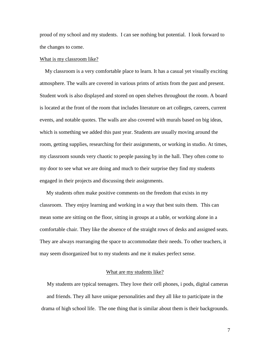proud of my school and my students. I can see nothing but potential. I look forward to the changes to come.

### What is my classroom like?

 My classroom is a very comfortable place to learn. It has a casual yet visually exciting atmosphere. The walls are covered in various prints of artists from the past and present. Student work is also displayed and stored on open shelves throughout the room. A board is located at the front of the room that includes literature on art colleges, careers, current events, and notable quotes. The walls are also covered with murals based on big ideas, which is something we added this past year. Students are usually moving around the room, getting supplies, researching for their assignments, or working in studio. At times, my classroom sounds very chaotic to people passing by in the hall. They often come to my door to see what we are doing and much to their surprise they find my students engaged in their projects and discussing their assignments.

 My students often make positive comments on the freedom that exists in my classroom. They enjoy learning and working in a way that best suits them. This can mean some are sitting on the floor, sitting in groups at a table, or working alone in a comfortable chair. They like the absence of the straight rows of desks and assigned seats. They are always rearranging the space to accommodate their needs. To other teachers, it may seem disorganized but to my students and me it makes perfect sense.

### What are my students like?

 My students are typical teenagers. They love their cell phones, i pods, digital cameras and friends. They all have unique personalities and they all like to participate in the drama of high school life. The one thing that is similar about them is their backgrounds.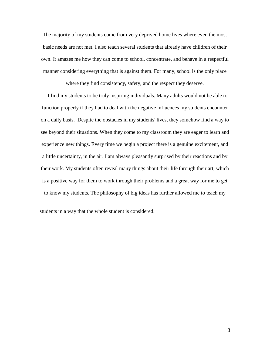The majority of my students come from very deprived home lives where even the most basic needs are not met. I also teach several students that already have children of their own. It amazes me how they can come to school, concentrate, and behave in a respectful manner considering everything that is against them. For many, school is the only place

where they find consistency, safety, and the respect they deserve.

 I find my students to be truly inspiring individuals. Many adults would not be able to function properly if they had to deal with the negative influences my students encounter on a daily basis. Despite the obstacles in my students' lives, they somehow find a way to see beyond their situations. When they come to my classroom they are eager to learn and experience new things. Every time we begin a project there is a genuine excitement, and a little uncertainty, in the air. I am always pleasantly surprised by their reactions and by their work. My students often reveal many things about their life through their art, which is a positive way for them to work through their problems and a great way for me to get to know my students. The philosophy of big ideas has further allowed me to teach my

students in a way that the whole student is considered.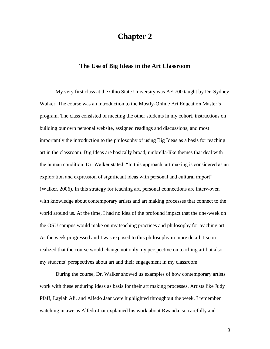## **Chapter 2**

### **The Use of Big Ideas in the Art Classroom**

My very first class at the Ohio State University was AE 700 taught by Dr. Sydney Walker. The course was an introduction to the Mostly-Online Art Education Master's program. The class consisted of meeting the other students in my cohort, instructions on building our own personal website, assigned readings and discussions, and most importantly the introduction to the philosophy of using Big Ideas as a basis for teaching art in the classroom. Big Ideas are basically broad, umbrella-like themes that deal with the human condition. Dr. Walker stated, "In this approach, art making is considered as an exploration and expression of significant ideas with personal and cultural import" (Walker, 2006). In this strategy for teaching art, personal connections are interwoven with knowledge about contemporary artists and art making processes that connect to the world around us. At the time, I had no idea of the profound impact that the one-week on the OSU campus would make on my teaching practices and philosophy for teaching art. As the week progressed and I was exposed to this philosophy in more detail, I soon realized that the course would change not only my perspective on teaching art but also my students' perspectives about art and their engagement in my classroom.

During the course, Dr. Walker showed us examples of how contemporary artists work with these enduring ideas as basis for their art making processes. Artists like Judy Pfaff, Laylah Ali, and Alfedo Jaar were highlighted throughout the week. I remember watching in awe as Alfedo Jaar explained his work about Rwanda, so carefully and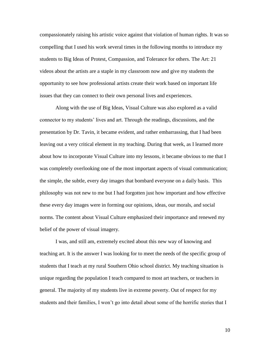compassionately raising his artistic voice against that violation of human rights. It was so compelling that I used his work several times in the following months to introduce my students to Big Ideas of Protest, Compassion, and Tolerance for others. The Art: 21 videos about the artists are a staple in my classroom now and give my students the opportunity to see how professional artists create their work based on important life issues that they can connect to their own personal lives and experiences.

Along with the use of Big Ideas, Visual Culture was also explored as a valid connector to my students' lives and art. Through the readings, discussions, and the presentation by Dr. Tavin, it became evident, and rather embarrassing, that I had been leaving out a very critical element in my teaching. During that week, as I learned more about how to incorporate Visual Culture into my lessons, it became obvious to me that I was completely overlooking one of the most important aspects of visual communication; the simple, the subtle, every day images that bombard everyone on a daily basis. This philosophy was not new to me but I had forgotten just how important and how effective these every day images were in forming our opinions, ideas, our morals, and social norms. The content about Visual Culture emphasized their importance and renewed my belief of the power of visual imagery.

I was, and still am, extremely excited about this new way of knowing and teaching art. It is the answer I was looking for to meet the needs of the specific group of students that I teach at my rural Southern Ohio school district. My teaching situation is unique regarding the population I teach compared to most art teachers, or teachers in general. The majority of my students live in extreme poverty. Out of respect for my students and their families, I won't go into detail about some of the horrific stories that I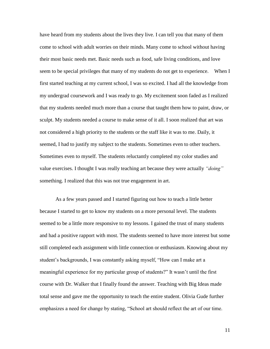have heard from my students about the lives they live. I can tell you that many of them come to school with adult worries on their minds. Many come to school without having their most basic needs met. Basic needs such as food, safe living conditions, and love seem to be special privileges that many of my students do not get to experience. When I first started teaching at my current school, I was so excited. I had all the knowledge from my undergrad coursework and I was ready to go. My excitement soon faded as I realized that my students needed much more than a course that taught them how to paint, draw, or sculpt. My students needed a course to make sense of it all. I soon realized that art was not considered a high priority to the students or the staff like it was to me. Daily, it seemed, I had to justify my subject to the students. Sometimes even to other teachers. Sometimes even to myself. The students reluctantly completed my color studies and value exercises. I thought I was really teaching art because they were actually *"doing"* something. I realized that this was not true engagement in art.

As a few years passed and I started figuring out how to teach a little better because I started to get to know my students on a more personal level. The students seemed to be a little more responsive to my lessons. I gained the trust of many students and had a positive rapport with most. The students seemed to have more interest but some still completed each assignment with little connection or enthusiasm. Knowing about my student's backgrounds, I was constantly asking myself, "How can I make art a meaningful experience for my particular group of students?" It wasn't until the first course with Dr. Walker that I finally found the answer. Teaching with Big Ideas made total sense and gave me the opportunity to teach the entire student. Olivia Gude further emphasizes a need for change by stating, "School art should reflect the art of our time.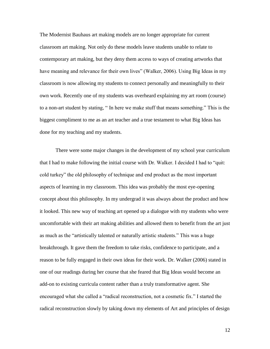The Modernist Bauhaus art making models are no longer appropriate for current classroom art making. Not only do these models leave students unable to relate to contemporary art making, but they deny them access to ways of creating artworks that have meaning and relevance for their own lives" (Walker, 2006). Using Big Ideas in my classroom is now allowing my students to connect personally and meaningfully to their own work. Recently one of my students was overheard explaining my art room (course) to a non-art student by stating, " In here we make stuff that means something." This is the biggest compliment to me as an art teacher and a true testament to what Big Ideas has done for my teaching and my students.

There were some major changes in the development of my school year curriculum that I had to make following the initial course with Dr. Walker. I decided I had to "quit: cold turkey" the old philosophy of technique and end product as the most important aspects of learning in my classroom. This idea was probably the most eye-opening concept about this philosophy. In my undergrad it was always about the product and how it looked. This new way of teaching art opened up a dialogue with my students who were uncomfortable with their art making abilities and allowed them to benefit from the art just as much as the "artistically talented or naturally artistic students." This was a huge breakthrough. It gave them the freedom to take risks, confidence to participate, and a reason to be fully engaged in their own ideas for their work. Dr. Walker (2006) stated in one of our readings during her course that she feared that Big Ideas would become an add-on to existing curricula content rather than a truly transformative agent. She encouraged what she called a "radical reconstruction, not a cosmetic fix." I started the radical reconstruction slowly by taking down my elements of Art and principles of design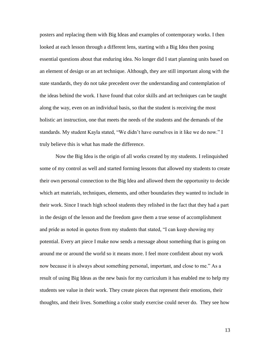posters and replacing them with Big Ideas and examples of contemporary works. I then looked at each lesson through a different lens, starting with a Big Idea then posing essential questions about that enduring idea. No longer did I start planning units based on an element of design or an art technique. Although, they are still important along with the state standards, they do not take precedent over the understanding and contemplation of the ideas behind the work. I have found that color skills and art techniques can be taught along the way, even on an individual basis, so that the student is receiving the most holistic art instruction, one that meets the needs of the students and the demands of the standards. My student Kayla stated, "We didn't have ourselves in it like we do now." I truly believe this is what has made the difference.

Now the Big Idea is the origin of all works created by my students. I relinquished some of my control as well and started forming lessons that allowed my students to create their own personal connection to the Big Idea and allowed them the opportunity to decide which art materials, techniques, elements, and other boundaries they wanted to include in their work. Since I teach high school students they relished in the fact that they had a part in the design of the lesson and the freedom gave them a true sense of accomplishment and pride as noted in quotes from my students that stated, "I can keep showing my potential. Every art piece I make now sends a message about something that is going on around me or around the world so it means more. I feel more confident about my work now because it is always about something personal, important, and close to me." As a result of using Big Ideas as the new basis for my curriculum it has enabled me to help my students see value in their work. They create pieces that represent their emotions, their thoughts, and their lives. Something a color study exercise could never do. They see how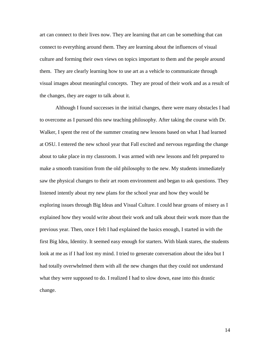art can connect to their lives now. They are learning that art can be something that can connect to everything around them. They are learning about the influences of visual culture and forming their own views on topics important to them and the people around them. They are clearly learning how to use art as a vehicle to communicate through visual images about meaningful concepts. They are proud of their work and as a result of the changes, they are eager to talk about it.

Although I found successes in the initial changes, there were many obstacles I had to overcome as I pursued this new teaching philosophy. After taking the course with Dr. Walker, I spent the rest of the summer creating new lessons based on what I had learned at OSU. I entered the new school year that Fall excited and nervous regarding the change about to take place in my classroom. I was armed with new lessons and felt prepared to make a smooth transition from the old philosophy to the new. My students immediately saw the physical changes to their art room environment and began to ask questions. They listened intently about my new plans for the school year and how they would be exploring issues through Big Ideas and Visual Culture. I could hear groans of misery as I explained how they would write about their work and talk about their work more than the previous year. Then, once I felt I had explained the basics enough, I started in with the first Big Idea, Identity. It seemed easy enough for starters. With blank stares, the students look at me as if I had lost my mind. I tried to generate conversation about the idea but I had totally overwhelmed them with all the new changes that they could not understand what they were supposed to do. I realized I had to slow down, ease into this drastic change.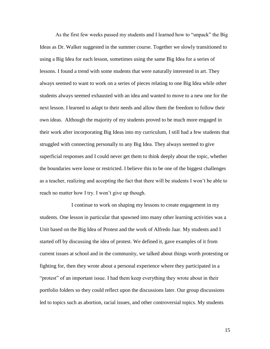As the first few weeks passed my students and I learned how to "unpack" the Big Ideas as Dr. Walker suggested in the summer course. Together we slowly transitioned to using a Big Idea for each lesson, sometimes using the same Big Idea for a series of lessons. I found a trend with some students that were naturally interested in art. They always seemed to want to work on a series of pieces relating to one Big Idea while other students always seemed exhausted with an idea and wanted to move to a new one for the next lesson. I learned to adapt to their needs and allow them the freedom to follow their own ideas. Although the majority of my students proved to be much more engaged in their work after incorporating Big Ideas into my curriculum, I still had a few students that struggled with connecting personally to any Big Idea. They always seemed to give superficial responses and I could never get them to think deeply about the topic, whether the boundaries were loose or restricted. I believe this to be one of the biggest challenges as a teacher, realizing and accepting the fact that there will be students I won't be able to reach no matter how I try. I won't give up though.

I continue to work on shaping my lessons to create engagement in my students. One lesson in particular that spawned into many other learning activities was a Unit based on the Big Idea of Protest and the work of Alfredo Jaar. My students and I started off by discussing the idea of protest. We defined it, gave examples of it from current issues at school and in the community, we talked about things worth protesting or fighting for, then they wrote about a personal experience where they participated in a "protest" of an important issue. I had them keep everything they wrote about in their portfolio folders so they could reflect upon the discussions later. Our group discussions led to topics such as abortion, racial issues, and other controversial topics. My students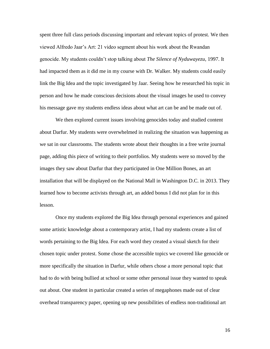spent three full class periods discussing important and relevant topics of protest. We then viewed Alfredo Jaar's Art: 21 video segment about his work about the Rwandan genocide. My students couldn't stop talking about *The Silence of Nyduwayezu*, 1997. It had impacted them as it did me in my course with Dr. Walker. My students could easily link the Big Idea and the topic investigated by Jaar. Seeing how he researched his topic in person and how he made conscious decisions about the visual images he used to convey his message gave my students endless ideas about what art can be and be made out of.

We then explored current issues involving genocides today and studied content about Darfur. My students were overwhelmed in realizing the situation was happening as we sat in our classrooms. The students wrote about their thoughts in a free write journal page, adding this piece of writing to their portfolios. My students were so moved by the images they saw about Darfur that they participated in One Million Bones, an art installation that will be displayed on the National Mall in Washington D.C. in 2013. They learned how to become activists through art, an added bonus I did not plan for in this lesson.

Once my students explored the Big Idea through personal experiences and gained some artistic knowledge about a contemporary artist, I had my students create a list of words pertaining to the Big Idea. For each word they created a visual sketch for their chosen topic under protest. Some chose the accessible topics we covered like genocide or more specifically the situation in Darfur, while others chose a more personal topic that had to do with being bullied at school or some other personal issue they wanted to speak out about. One student in particular created a series of megaphones made out of clear overhead transparency paper, opening up new possibilities of endless non-traditional art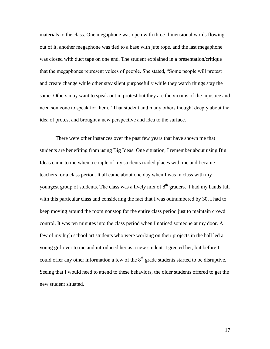materials to the class. One megaphone was open with three-dimensional words flowing out of it, another megaphone was tied to a base with jute rope, and the last megaphone was closed with duct tape on one end. The student explained in a presentation/critique that the megaphones represent voices of people. She stated, "Some people will protest and create change while other stay silent purposefully while they watch things stay the same. Others may want to speak out in protest but they are the victims of the injustice and need someone to speak for them." That student and many others thought deeply about the idea of protest and brought a new perspective and idea to the surface.

There were other instances over the past few years that have shown me that students are benefiting from using Big Ideas. One situation, I remember about using Big Ideas came to me when a couple of my students traded places with me and became teachers for a class period. It all came about one day when I was in class with my youngest group of students. The class was a lively mix of  $8<sup>th</sup>$  graders. I had my hands full with this particular class and considering the fact that I was outnumbered by 30, I had to keep moving around the room nonstop for the entire class period just to maintain crowd control. It was ten minutes into the class period when I noticed someone at my door. A few of my high school art students who were working on their projects in the hall led a young girl over to me and introduced her as a new student. I greeted her, but before I could offer any other information a few of the  $8<sup>th</sup>$  grade students started to be disruptive. Seeing that I would need to attend to these behaviors, the older students offered to get the new student situated.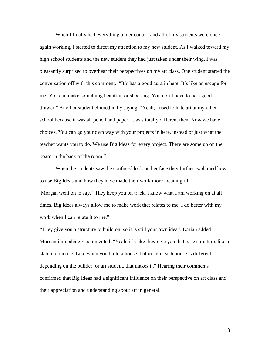When I finally had everything under control and all of my students were once again working, I started to direct my attention to my new student. As I walked toward my high school students and the new student they had just taken under their wing, I was pleasantly surprised to overhear their perspectives on my art class. One student started the conversation off with this comment. "It's has a good aura in here. It's like an escape for me. You can make something beautiful or shocking. You don't have to be a good drawer." Another student chimed in by saying, "Yeah, I used to hate art at my other school because it was all pencil and paper. It was totally different then. Now we have choices. You can go your own way with your projects in here, instead of just what the teacher wants you to do. We use Big Ideas for every project. There are some up on the board in the back of the room."

When the students saw the confused look on her face they further explained how to use Big Ideas and how they have made their work more meaningful. Morgan went on to say, "They keep you on track. I know what I am working on at all times. Big ideas always allow me to make work that relates to me. I do better with my work when I can relate it to me."

"They give you a structure to build on, so it is still your own idea", Darian added. Morgan immediately commented, "Yeah, it's like they give you that base structure, like a slab of concrete. Like when you build a house, but in here each house is different depending on the builder, or art student, that makes it." Hearing their comments confirmed that Big Ideas had a significant influence on their perspective on art class and their appreciation and understanding about art in general.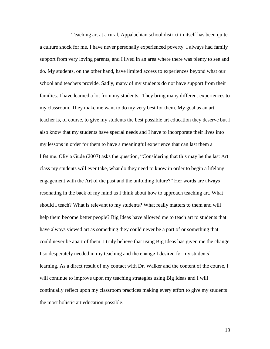Teaching art at a rural, Appalachian school district in itself has been quite a culture shock for me. I have never personally experienced poverty. I always had family support from very loving parents, and I lived in an area where there was plenty to see and do. My students, on the other hand, have limited access to experiences beyond what our school and teachers provide. Sadly, many of my students do not have support from their families. I have learned a lot from my students. They bring many different experiences to my classroom. They make me want to do my very best for them. My goal as an art teacher is, of course, to give my students the best possible art education they deserve but I also know that my students have special needs and I have to incorporate their lives into my lessons in order for them to have a meaningful experience that can last them a lifetime. Olivia Gude (2007) asks the question, "Considering that this may be the last Art class my students will ever take, what do they need to know in order to begin a lifelong engagement with the Art of the past and the unfolding future?" Her words are always resonating in the back of my mind as I think about how to approach teaching art. What should I teach? What is relevant to my students? What really matters to them and will help them become better people? Big Ideas have allowed me to teach art to students that have always viewed art as something they could never be a part of or something that could never be apart of them. I truly believe that using Big Ideas has given me the change I so desperately needed in my teaching and the change I desired for my students' learning. As a direct result of my contact with Dr. Walker and the content of the course, I will continue to improve upon my teaching strategies using Big Ideas and I will continually reflect upon my classroom practices making every effort to give my students the most holistic art education possible.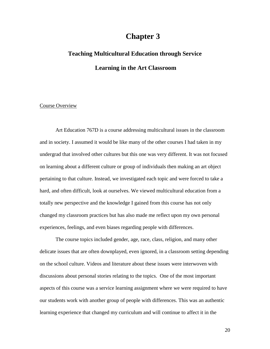### **Chapter 3**

# **Teaching Multicultural Education through Service Learning in the Art Classroom**

### Course Overview

Art Education 767D is a course addressing multicultural issues in the classroom and in society. I assumed it would be like many of the other courses I had taken in my undergrad that involved other cultures but this one was very different. It was not focused on learning about a different culture or group of individuals then making an art object pertaining to that culture. Instead, we investigated each topic and were forced to take a hard, and often difficult, look at ourselves. We viewed multicultural education from a totally new perspective and the knowledge I gained from this course has not only changed my classroom practices but has also made me reflect upon my own personal experiences, feelings, and even biases regarding people with differences.

The course topics included gender, age, race, class, religion, and many other delicate issues that are often downplayed, even ignored, in a classroom setting depending on the school culture. Videos and literature about these issues were interwoven with discussions about personal stories relating to the topics. One of the most important aspects of this course was a service learning assignment where we were required to have our students work with another group of people with differences. This was an authentic learning experience that changed my curriculum and will continue to affect it in the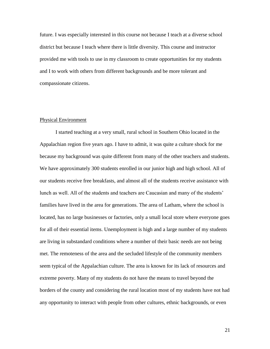future. I was especially interested in this course not because I teach at a diverse school district but because I teach where there is little diversity. This course and instructor provided me with tools to use in my classroom to create opportunities for my students and I to work with others from different backgrounds and be more tolerant and compassionate citizens.

#### Physical Environment

I started teaching at a very small, rural school in Southern Ohio located in the Appalachian region five years ago. I have to admit, it was quite a culture shock for me because my background was quite different from many of the other teachers and students. We have approximately 300 students enrolled in our junior high and high school. All of our students receive free breakfasts, and almost all of the students receive assistance with lunch as well. All of the students and teachers are Caucasian and many of the students' families have lived in the area for generations. The area of Latham, where the school is located, has no large businesses or factories, only a small local store where everyone goes for all of their essential items. Unemployment is high and a large number of my students are living in substandard conditions where a number of their basic needs are not being met. The remoteness of the area and the secluded lifestyle of the community members seem typical of the Appalachian culture. The area is known for its lack of resources and extreme poverty. Many of my students do not have the means to travel beyond the borders of the county and considering the rural location most of my students have not had any opportunity to interact with people from other cultures, ethnic backgrounds, or even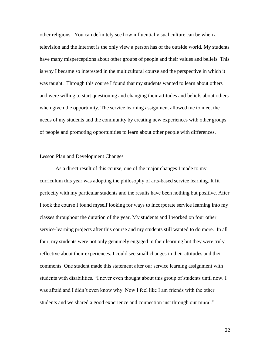other religions. You can definitely see how influential visual culture can be when a television and the Internet is the only view a person has of the outside world. My students have many misperceptions about other groups of people and their values and beliefs. This is why I became so interested in the multicultural course and the perspective in which it was taught. Through this course I found that my students wanted to learn about others and were willing to start questioning and changing their attitudes and beliefs about others when given the opportunity. The service learning assignment allowed me to meet the needs of my students and the community by creating new experiences with other groups of people and promoting opportunities to learn about other people with differences.

### Lesson Plan and Development Changes

As a direct result of this course, one of the major changes I made to my curriculum this year was adopting the philosophy of arts-based service learning. It fit perfectly with my particular students and the results have been nothing but positive. After I took the course I found myself looking for ways to incorporate service learning into my classes throughout the duration of the year. My students and I worked on four other service-learning projects after this course and my students still wanted to do more. In all four, my students were not only genuinely engaged in their learning but they were truly reflective about their experiences. I could see small changes in their attitudes and their comments. One student made this statement after our service learning assignment with students with disabilities. "I never even thought about this group of students until now. I was afraid and I didn't even know why. Now I feel like I am friends with the other students and we shared a good experience and connection just through our mural."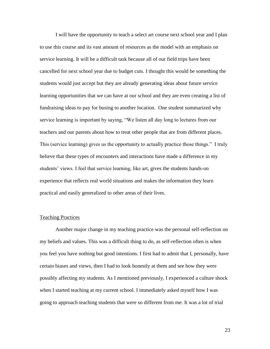I will have the opportunity to teach a select art course next school year and I plan to use this course and its vast amount of resources as the model with an emphasis on service learning. It will be a difficult task because all of our field trips have been cancelled for next school year due to budget cuts. I thought this would be something the students would just accept but they are already generating ideas about future service learning opportunities that we can have at our school and they are even creating a list of fundraising ideas to pay for busing to another location. One student summarized why service learning is important by saying, "We listen all day long to lectures from our teachers and our parents about how to treat other people that are from different places. This (service learning) gives us the opportunity to actually practice those things." I truly believe that these types of encounters and interactions have made a difference in my students' views. I feel that service learning, like art, gives the students hands-on experience that reflects real world situations and makes the information they learn practical and easily generalized to other areas of their lives.

### Teaching Practices

Another major change in my teaching practice was the personal self-reflection on my beliefs and values. This was a difficult thing to do, as self-reflection often is when you feel you have nothing but good intentions. I first had to admit that I, personally, have certain biases and views, then I had to look honestly at them and see how they were possibly affecting my students. As I mentioned previously, I experienced a culture shock when I started teaching at my current school. I immediately asked myself how I was going to approach teaching students that were so different from me. It was a lot of trial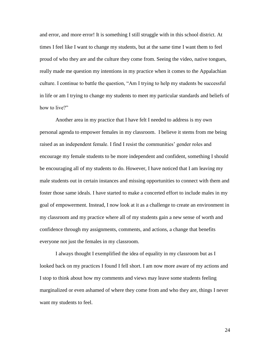and error, and more error! It is something I still struggle with in this school district. At times I feel like I want to change my students, but at the same time I want them to feel proud of who they are and the culture they come from. Seeing the video, native tongues, really made me question my intentions in my practice when it comes to the Appalachian culture. I continue to battle the question, "Am I trying to help my students be successful in life or am I trying to change my students to meet my particular standards and beliefs of how to live?"

Another area in my practice that I have felt I needed to address is my own personal agenda to empower females in my classroom. I believe it stems from me being raised as an independent female. I find I resist the communities' gender roles and encourage my female students to be more independent and confident, something I should be encouraging all of my students to do. However, I have noticed that I am leaving my male students out in certain instances and missing opportunities to connect with them and foster those same ideals. I have started to make a concerted effort to include males in my goal of empowerment. Instead, I now look at it as a challenge to create an environment in my classroom and my practice where all of my students gain a new sense of worth and confidence through my assignments, comments, and actions, a change that benefits everyone not just the females in my classroom.

I always thought I exemplified the idea of equality in my classroom but as I looked back on my practices I found I fell short. I am now more aware of my actions and I stop to think about how my comments and views may leave some students feeling marginalized or even ashamed of where they come from and who they are, things I never want my students to feel.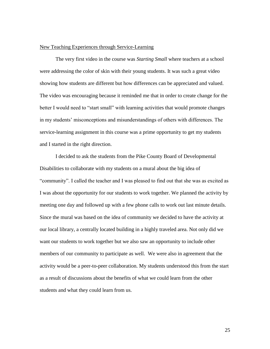### New Teaching Experiences through Service-Learning

The very first video in the course was *Starting Small* where teachers at a school were addressing the color of skin with their young students. It was such a great video showing how students are different but how differences can be appreciated and valued. The video was encouraging because it reminded me that in order to create change for the better I would need to "start small" with learning activities that would promote changes in my students' misconceptions and misunderstandings of others with differences. The service-learning assignment in this course was a prime opportunity to get my students and I started in the right direction.

I decided to ask the students from the Pike County Board of Developmental Disabilities to collaborate with my students on a mural about the big idea of "community". I called the teacher and I was pleased to find out that she was as excited as I was about the opportunity for our students to work together. We planned the activity by meeting one day and followed up with a few phone calls to work out last minute details. Since the mural was based on the idea of community we decided to have the activity at our local library, a centrally located building in a highly traveled area. Not only did we want our students to work together but we also saw an opportunity to include other members of our community to participate as well. We were also in agreement that the activity would be a peer-to-peer collaboration. My students understood this from the start as a result of discussions about the benefits of what we could learn from the other students and what they could learn from us.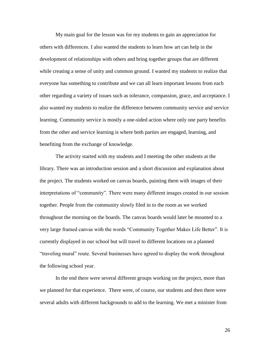My main goal for the lesson was for my students to gain an appreciation for others with differences. I also wanted the students to learn how art can help in the development of relationships with others and bring together groups that are different while creating a sense of unity and common ground. I wanted my students to realize that everyone has something to contribute and we can all learn important lessons from each other regarding a variety of issues such as tolerance, compassion, grace, and acceptance. I also wanted my students to realize the difference between community service and service learning. Community service is mostly a one-sided action where only one party benefits from the other and service learning is where both parties are engaged, learning, and benefiting from the exchange of knowledge.

The activity started with my students and I meeting the other students at the library. There was an introduction session and a short discussion and explanation about the project. The students worked on canvas boards, painting them with images of their interpretations of "community". There were many different images created in our session together. People from the community slowly filed in to the room as we worked throughout the morning on the boards. The canvas boards would later be mounted to a very large framed canvas with the words "Community Together Makes Life Better". It is currently displayed in our school but will travel to different locations on a planned "traveling mural" route. Several businesses have agreed to display the work throughout the following school year.

In the end there were several different groups working on the project, more than we planned for that experience. There were, of course, our students and then there were several adults with different backgrounds to add to the learning. We met a minister from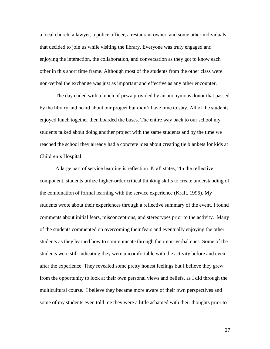a local church, a lawyer, a police officer, a restaurant owner, and some other individuals that decided to join us while visiting the library. Everyone was truly engaged and enjoying the interaction, the collaboration, and conversation as they got to know each other in this short time frame. Although most of the students from the other class were non-verbal the exchange was just as important and effective as any other encounter.

The day ended with a lunch of pizza provided by an anonymous donor that passed by the library and heard about our project but didn't have time to stay. All of the students enjoyed lunch together then boarded the buses. The entire way back to our school my students talked about doing another project with the same students and by the time we reached the school they already had a concrete idea about creating tie blankets for kids at Children's Hospital.

A large part of service learning is reflection. Kraft states, "In the reflective component, students utilize higher-order critical thinking skills to create understanding of the combination of formal learning with the service experience (Kraft, 1996). My students wrote about their experiences through a reflective summary of the event. I found comments about initial fears, misconceptions, and stereotypes prior to the activity. Many of the students commented on overcoming their fears and eventually enjoying the other students as they learned how to communicate through their non-verbal cues. Some of the students were still indicating they were uncomfortable with the activity before and even after the experience. They revealed some pretty honest feelings but I believe they grew from the opportunity to look at their own personal views and beliefs, as I did through the multicultural course. I believe they became more aware of their own perspectives and some of my students even told me they were a little ashamed with their thoughts prior to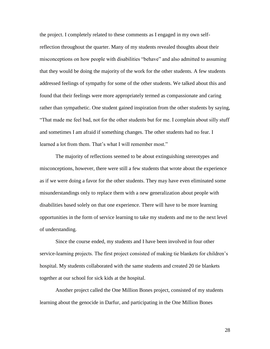the project. I completely related to these comments as I engaged in my own selfreflection throughout the quarter. Many of my students revealed thoughts about their misconceptions on how people with disabilities "behave" and also admitted to assuming that they would be doing the majority of the work for the other students. A few students addressed feelings of sympathy for some of the other students. We talked about this and found that their feelings were more appropriately termed as compassionate and caring rather than sympathetic. One student gained inspiration from the other students by saying, "That made me feel bad, not for the other students but for me. I complain about silly stuff and sometimes I am afraid if something changes. The other students had no fear. I learned a lot from them. That's what I will remember most."

The majority of reflections seemed to be about extinguishing stereotypes and misconceptions, however, there were still a few students that wrote about the experience as if we were doing a favor for the other students. They may have even eliminated some misunderstandings only to replace them with a new generalization about people with disabilities based solely on that one experience. There will have to be more learning opportunities in the form of service learning to take my students and me to the next level of understanding.

Since the course ended, my students and I have been involved in four other service-learning projects. The first project consisted of making tie blankets for children's hospital. My students collaborated with the same students and created 20 tie blankets together at our school for sick kids at the hospital.

Another project called the One Million Bones project, consisted of my students learning about the genocide in Darfur, and participating in the One Million Bones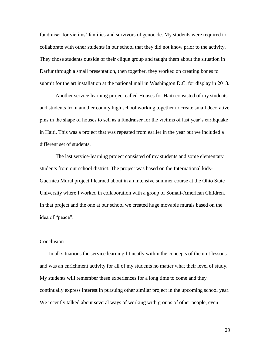fundraiser for victims' families and survivors of genocide. My students were required to collaborate with other students in our school that they did not know prior to the activity. They chose students outside of their clique group and taught them about the situation in Darfur through a small presentation, then together, they worked on creating bones to submit for the art installation at the national mall in Washington D.C. for display in 2013.

Another service learning project called Houses for Haiti consisted of my students and students from another county high school working together to create small decorative pins in the shape of houses to sell as a fundraiser for the victims of last year's earthquake in Haiti. This was a project that was repeated from earlier in the year but we included a different set of students.

The last service-learning project consisted of my students and some elementary students from our school district. The project was based on the International kids-Guernica Mural project I learned about in an intensive summer course at the Ohio State University where I worked in collaboration with a group of Somali-American Children. In that project and the one at our school we created huge movable murals based on the idea of "peace".

#### Conclusion

 In all situations the service learning fit neatly within the concepts of the unit lessons and was an enrichment activity for all of my students no matter what their level of study. My students will remember these experiences for a long time to come and they continually express interest in pursuing other similar project in the upcoming school year. We recently talked about several ways of working with groups of other people, even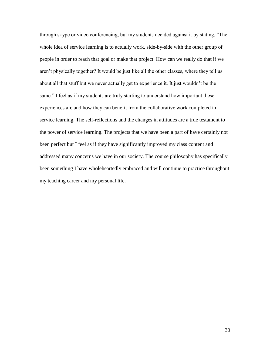through skype or video conferencing, but my students decided against it by stating, "The whole idea of service learning is to actually work, side-by-side with the other group of people in order to reach that goal or make that project. How can we really do that if we aren't physically together? It would be just like all the other classes, where they tell us about all that stuff but we never actually get to experience it. It just wouldn't be the same." I feel as if my students are truly starting to understand how important these experiences are and how they can benefit from the collaborative work completed in service learning. The self-reflections and the changes in attitudes are a true testament to the power of service learning. The projects that we have been a part of have certainly not been perfect but I feel as if they have significantly improved my class content and addressed many concerns we have in our society. The course philosophy has specifically been something I have wholeheartedly embraced and will continue to practice throughout my teaching career and my personal life.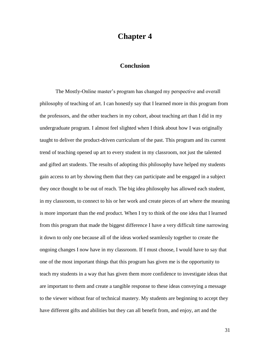## **Chapter 4**

### **Conclusion**

The Mostly-Online master's program has changed my perspective and overall philosophy of teaching of art. I can honestly say that I learned more in this program from the professors, and the other teachers in my cohort, about teaching art than I did in my undergraduate program. I almost feel slighted when I think about how I was originally taught to deliver the product-driven curriculum of the past. This program and its current trend of teaching opened up art to every student in my classroom, not just the talented and gifted art students. The results of adopting this philosophy have helped my students gain access to art by showing them that they can participate and be engaged in a subject they once thought to be out of reach. The big idea philosophy has allowed each student, in my classroom, to connect to his or her work and create pieces of art where the meaning is more important than the end product. When I try to think of the one idea that I learned from this program that made the biggest difference I have a very difficult time narrowing it down to only one because all of the ideas worked seamlessly together to create the ongoing changes I now have in my classroom. If I must choose, I would have to say that one of the most important things that this program has given me is the opportunity to teach my students in a way that has given them more confidence to investigate ideas that are important to them and create a tangible response to these ideas conveying a message to the viewer without fear of technical mastery. My students are beginning to accept they have different gifts and abilities but they can all benefit from, and enjoy, art and the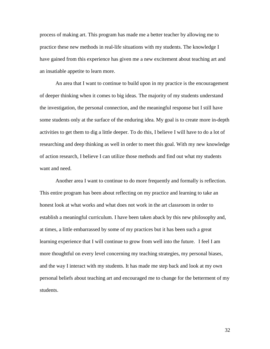process of making art. This program has made me a better teacher by allowing me to practice these new methods in real-life situations with my students. The knowledge I have gained from this experience has given me a new excitement about teaching art and an insatiable appetite to learn more.

An area that I want to continue to build upon in my practice is the encouragement of deeper thinking when it comes to big ideas. The majority of my students understand the investigation, the personal connection, and the meaningful response but I still have some students only at the surface of the enduring idea. My goal is to create more in-depth activities to get them to dig a little deeper. To do this, I believe I will have to do a lot of researching and deep thinking as well in order to meet this goal. With my new knowledge of action research, I believe I can utilize those methods and find out what my students want and need.

Another area I want to continue to do more frequently and formally is reflection. This entire program has been about reflecting on my practice and learning to take an honest look at what works and what does not work in the art classroom in order to establish a meaningful curriculum. I have been taken aback by this new philosophy and, at times, a little embarrassed by some of my practices but it has been such a great learning experience that I will continue to grow from well into the future. I feel I am more thoughtful on every level concerning my teaching strategies, my personal biases, and the way I interact with my students. It has made me step back and look at my own personal beliefs about teaching art and encouraged me to change for the betterment of my students.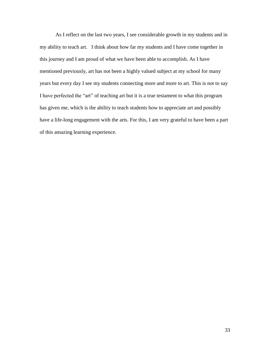As I reflect on the last two years, I see considerable growth in my students and in my ability to teach art. I think about how far my students and I have come together in this journey and I am proud of what we have been able to accomplish. As I have mentioned previously, art has not been a highly valued subject at my school for many years but every day I see my students connecting more and more to art. This is not to say I have perfected the "art" of teaching art but it is a true testament to what this program has given me, which is the ability to teach students how to appreciate art and possibly have a life-long engagement with the arts. For this, I am very grateful to have been a part of this amazing learning experience.